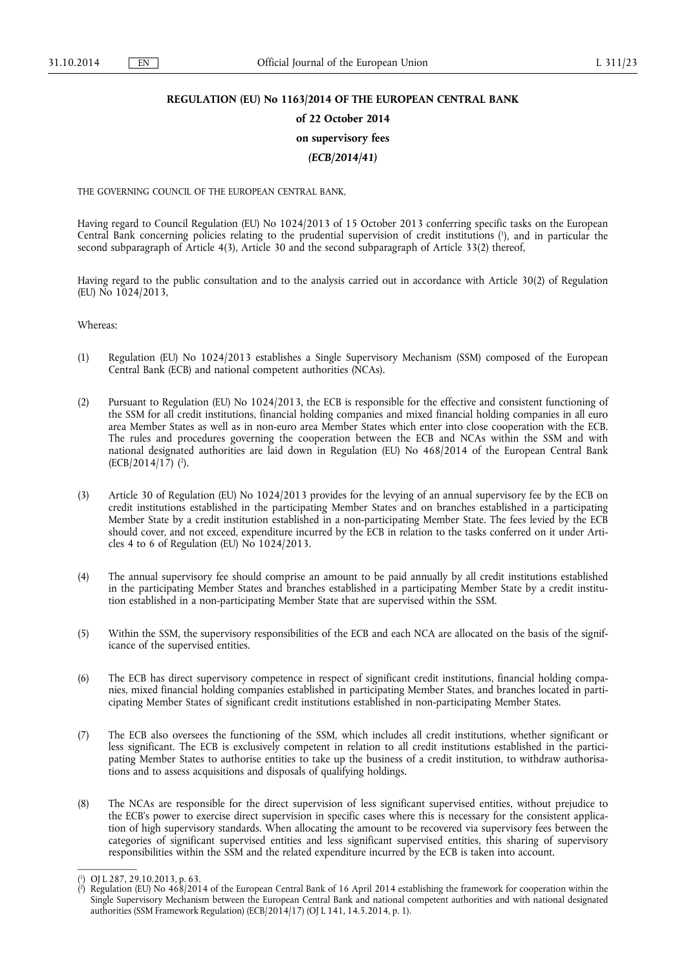# **REGULATION (EU) No 1163/2014 OF THE EUROPEAN CENTRAL BANK**

# **of 22 October 2014**

# **on supervisory fees**

# *(ECB/2014/41)*

THE GOVERNING COUNCIL OF THE EUROPEAN CENTRAL BANK,

Having regard to Council Regulation (EU) No 1024/2013 of 15 October 2013 conferring specific tasks on the European Central Bank concerning policies relating to the prudential supervision of credit institutions ( 1 ), and in particular the second subparagraph of Article 4(3), Article 30 and the second subparagraph of Article 33(2) thereof,

Having regard to the public consultation and to the analysis carried out in accordance with Article 30(2) of Regulation (EU) No 1024/2013,

Whereas:

- (1) Regulation (EU) No 1024/2013 establishes a Single Supervisory Mechanism (SSM) composed of the European Central Bank (ECB) and national competent authorities (NCAs).
- (2) Pursuant to Regulation (EU) No 1024/2013, the ECB is responsible for the effective and consistent functioning of the SSM for all credit institutions, financial holding companies and mixed financial holding companies in all euro area Member States as well as in non-euro area Member States which enter into close cooperation with the ECB. The rules and procedures governing the cooperation between the ECB and NCAs within the SSM and with national designated authorities are laid down in Regulation (EU) No 468/2014 of the European Central Bank  $(ECB/2014/17)$  (<sup>2</sup>).
- (3) Article 30 of Regulation (EU) No 1024/2013 provides for the levying of an annual supervisory fee by the ECB on credit institutions established in the participating Member States and on branches established in a participating Member State by a credit institution established in a non-participating Member State. The fees levied by the ECB should cover, and not exceed, expenditure incurred by the ECB in relation to the tasks conferred on it under Articles 4 to 6 of Regulation (EU)  $N_0$  1024/2013.
- (4) The annual supervisory fee should comprise an amount to be paid annually by all credit institutions established in the participating Member States and branches established in a participating Member State by a credit institution established in a non-participating Member State that are supervised within the SSM.
- (5) Within the SSM, the supervisory responsibilities of the ECB and each NCA are allocated on the basis of the significance of the supervised entities.
- (6) The ECB has direct supervisory competence in respect of significant credit institutions, financial holding companies, mixed financial holding companies established in participating Member States, and branches located in participating Member States of significant credit institutions established in non-participating Member States.
- (7) The ECB also oversees the functioning of the SSM, which includes all credit institutions, whether significant or less significant. The ECB is exclusively competent in relation to all credit institutions established in the participating Member States to authorise entities to take up the business of a credit institution, to withdraw authorisations and to assess acquisitions and disposals of qualifying holdings.
- (8) The NCAs are responsible for the direct supervision of less significant supervised entities, without prejudice to the ECB's power to exercise direct supervision in specific cases where this is necessary for the consistent application of high supervisory standards. When allocating the amount to be recovered via supervisory fees between the categories of significant supervised entities and less significant supervised entities, this sharing of supervisory responsibilities within the SSM and the related expenditure incurred by the ECB is taken into account.

<sup>(</sup> 1 ) OJ L 287, 29.10.2013, p. 63.

<sup>(</sup> 2 ) Regulation (EU) No 468/2014 of the European Central Bank of 16 April 2014 establishing the framework for cooperation within the Single Supervisory Mechanism between the European Central Bank and national competent authorities and with national designated authorities (SSM Framework Regulation) (ECB/2014/17) (OJ L 141, 14.5.2014, p. 1).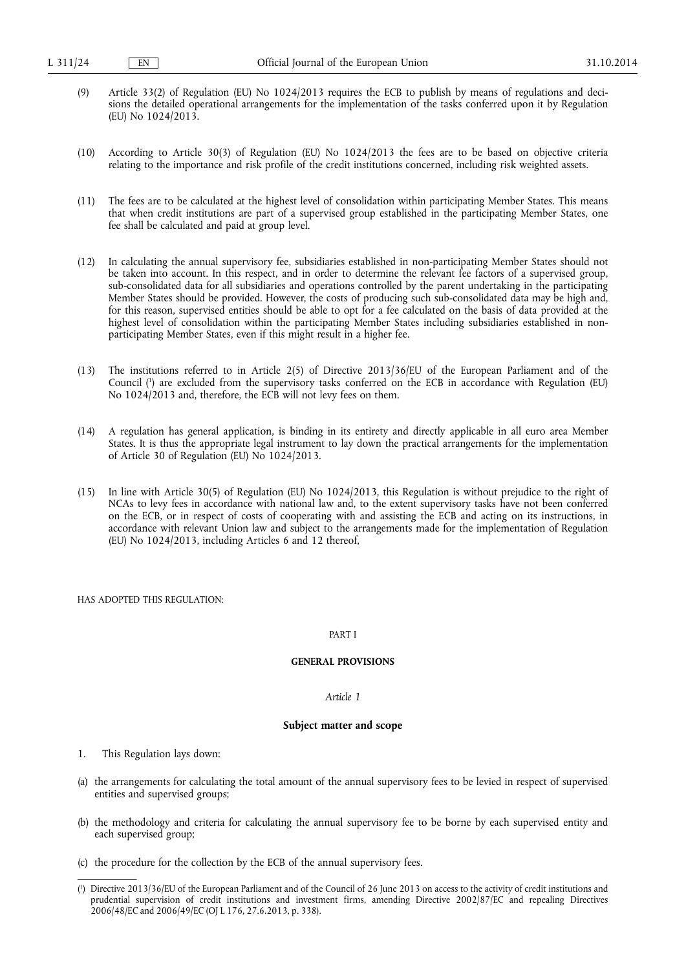- (9) Article 33(2) of Regulation (EU) No 1024/2013 requires the ECB to publish by means of regulations and decisions the detailed operational arrangements for the implementation of the tasks conferred upon it by Regulation (EU) No 1024/2013.
- (10) According to Article 30(3) of Regulation (EU) No 1024/2013 the fees are to be based on objective criteria relating to the importance and risk profile of the credit institutions concerned, including risk weighted assets.
- (11) The fees are to be calculated at the highest level of consolidation within participating Member States. This means that when credit institutions are part of a supervised group established in the participating Member States, one fee shall be calculated and paid at group level.
- (12) In calculating the annual supervisory fee, subsidiaries established in non-participating Member States should not be taken into account. In this respect, and in order to determine the relevant fee factors of a supervised group, sub-consolidated data for all subsidiaries and operations controlled by the parent undertaking in the participating Member States should be provided. However, the costs of producing such sub-consolidated data may be high and, for this reason, supervised entities should be able to opt for a fee calculated on the basis of data provided at the highest level of consolidation within the participating Member States including subsidiaries established in nonparticipating Member States, even if this might result in a higher fee.
- (13) The institutions referred to in Article 2(5) of Directive 2013/36/EU of the European Parliament and of the Council ( 1 ) are excluded from the supervisory tasks conferred on the ECB in accordance with Regulation (EU) No 1024/2013 and, therefore, the ECB will not levy fees on them.
- (14) A regulation has general application, is binding in its entirety and directly applicable in all euro area Member States. It is thus the appropriate legal instrument to lay down the practical arrangements for the implementation of Article 30 of Regulation (EU) No 1024/2013.
- (15) In line with Article 30(5) of Regulation (EU) No 1024/2013, this Regulation is without prejudice to the right of NCAs to levy fees in accordance with national law and, to the extent supervisory tasks have not been conferred on the ECB, or in respect of costs of cooperating with and assisting the ECB and acting on its instructions, in accordance with relevant Union law and subject to the arrangements made for the implementation of Regulation (EU) No 1024/2013, including Articles 6 and 12 thereof,

HAS ADOPTED THIS REGULATION:

## PART I

# **GENERAL PROVISIONS**

### *Article 1*

## **Subject matter and scope**

- 1. This Regulation lays down:
- (a) the arrangements for calculating the total amount of the annual supervisory fees to be levied in respect of supervised entities and supervised groups;
- (b) the methodology and criteria for calculating the annual supervisory fee to be borne by each supervised entity and each supervised group;
- (c) the procedure for the collection by the ECB of the annual supervisory fees.

<sup>(</sup> 1 ) Directive 2013/36/EU of the European Parliament and of the Council of 26 June 2013 on access to the activity of credit institutions and prudential supervision of credit institutions and investment firms, amending Directive 2002/87/EC and repealing Directives 2006/48/EC and 2006/49/EC (OJ L 176, 27.6.2013, p. 338).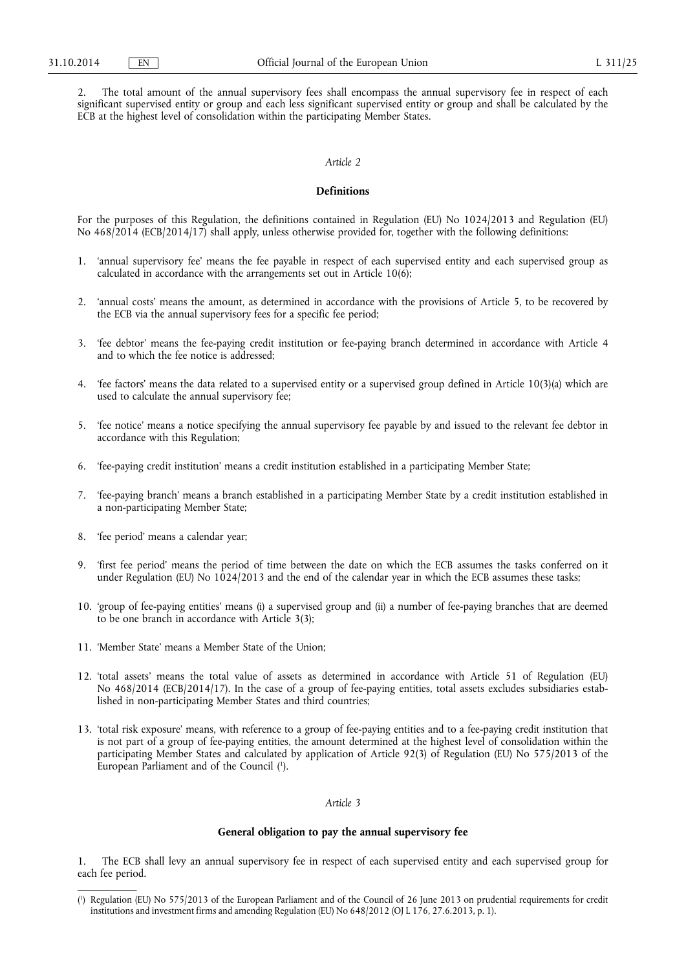2. The total amount of the annual supervisory fees shall encompass the annual supervisory fee in respect of each significant supervised entity or group and each less significant supervised entity or group and shall be calculated by the ECB at the highest level of consolidation within the participating Member States.

# *Article 2*

## **Definitions**

For the purposes of this Regulation, the definitions contained in Regulation (EU) No 1024/2013 and Regulation (EU) No 468/2014 (ECB/2014/17) shall apply, unless otherwise provided for, together with the following definitions:

- 1. 'annual supervisory fee' means the fee payable in respect of each supervised entity and each supervised group as calculated in accordance with the arrangements set out in Article  $10(6)$ ;
- 2. 'annual costs' means the amount, as determined in accordance with the provisions of Article 5, to be recovered by the ECB via the annual supervisory fees for a specific fee period;
- 3. 'fee debtor' means the fee-paying credit institution or fee-paying branch determined in accordance with Article 4 and to which the fee notice is addressed;
- 4. 'fee factors' means the data related to a supervised entity or a supervised group defined in Article 10(3)(a) which are used to calculate the annual supervisory fee;
- 5. 'fee notice' means a notice specifying the annual supervisory fee payable by and issued to the relevant fee debtor in accordance with this Regulation;
- 6. 'fee-paying credit institution' means a credit institution established in a participating Member State;
- 7. 'fee-paying branch' means a branch established in a participating Member State by a credit institution established in a non-participating Member State;
- 8. 'fee period' means a calendar year;
- 9. 'first fee period' means the period of time between the date on which the ECB assumes the tasks conferred on it under Regulation (EU) No 1024/2013 and the end of the calendar year in which the ECB assumes these tasks;
- 10. 'group of fee-paying entities' means (i) a supervised group and (ii) a number of fee-paying branches that are deemed to be one branch in accordance with Article 3(3);
- 11. 'Member State' means a Member State of the Union;
- 12. 'total assets' means the total value of assets as determined in accordance with Article 51 of Regulation (EU) No 468/2014 (ECB/2014/17). In the case of a group of fee-paying entities, total assets excludes subsidiaries established in non-participating Member States and third countries;
- 13. 'total risk exposure' means, with reference to a group of fee-paying entities and to a fee-paying credit institution that is not part of a group of fee-paying entities, the amount determined at the highest level of consolidation within the participating Member States and calculated by application of Article 92(3) of Regulation (EU) No 575/2013 of the European Parliament and of the Council ( 1 ).

## *Article 3*

# **General obligation to pay the annual supervisory fee**

1. The ECB shall levy an annual supervisory fee in respect of each supervised entity and each supervised group for each fee period.

<sup>(</sup> 1 ) Regulation (EU) No 575/2013 of the European Parliament and of the Council of 26 June 2013 on prudential requirements for credit institutions and investment firms and amending Regulation (EU) No 648/2012 (OJ L 176, 27.6.2013, p. 1).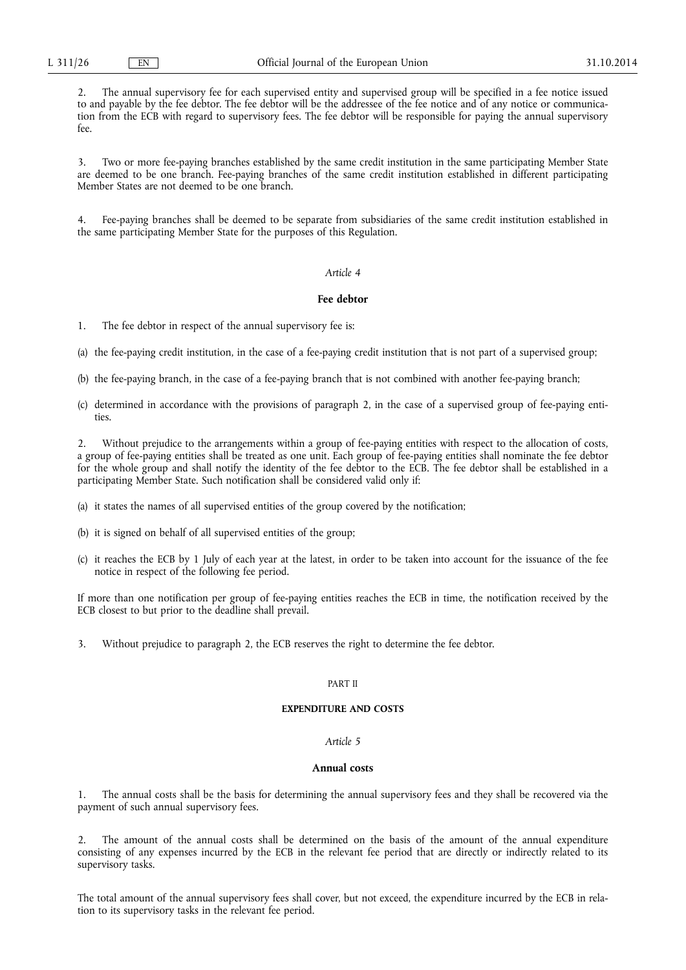2. The annual supervisory fee for each supervised entity and supervised group will be specified in a fee notice issued to and payable by the fee debtor. The fee debtor will be the addressee of the fee notice and of any notice or communication from the ECB with regard to supervisory fees. The fee debtor will be responsible for paying the annual supervisory fee.

3. Two or more fee-paying branches established by the same credit institution in the same participating Member State are deemed to be one branch. Fee-paying branches of the same credit institution established in different participating Member States are not deemed to be one branch.

4. Fee-paying branches shall be deemed to be separate from subsidiaries of the same credit institution established in the same participating Member State for the purposes of this Regulation.

# *Article 4*

## **Fee debtor**

1. The fee debtor in respect of the annual supervisory fee is:

(a) the fee-paying credit institution, in the case of a fee-paying credit institution that is not part of a supervised group;

- (b) the fee-paying branch, in the case of a fee-paying branch that is not combined with another fee-paying branch;
- (c) determined in accordance with the provisions of paragraph 2, in the case of a supervised group of fee-paying entities.

2. Without prejudice to the arrangements within a group of fee-paying entities with respect to the allocation of costs, a group of fee-paying entities shall be treated as one unit. Each group of fee-paying entities shall nominate the fee debtor for the whole group and shall notify the identity of the fee debtor to the ECB. The fee debtor shall be established in a participating Member State. Such notification shall be considered valid only if:

- (a) it states the names of all supervised entities of the group covered by the notification;
- (b) it is signed on behalf of all supervised entities of the group;
- (c) it reaches the ECB by 1 July of each year at the latest, in order to be taken into account for the issuance of the fee notice in respect of the following fee period.

If more than one notification per group of fee-paying entities reaches the ECB in time, the notification received by the ECB closest to but prior to the deadline shall prevail.

3. Without prejudice to paragraph 2, the ECB reserves the right to determine the fee debtor.

### PART II

## **EXPENDITURE AND COSTS**

#### *Article 5*

## **Annual costs**

1. The annual costs shall be the basis for determining the annual supervisory fees and they shall be recovered via the payment of such annual supervisory fees.

The amount of the annual costs shall be determined on the basis of the amount of the annual expenditure consisting of any expenses incurred by the ECB in the relevant fee period that are directly or indirectly related to its supervisory tasks.

The total amount of the annual supervisory fees shall cover, but not exceed, the expenditure incurred by the ECB in relation to its supervisory tasks in the relevant fee period.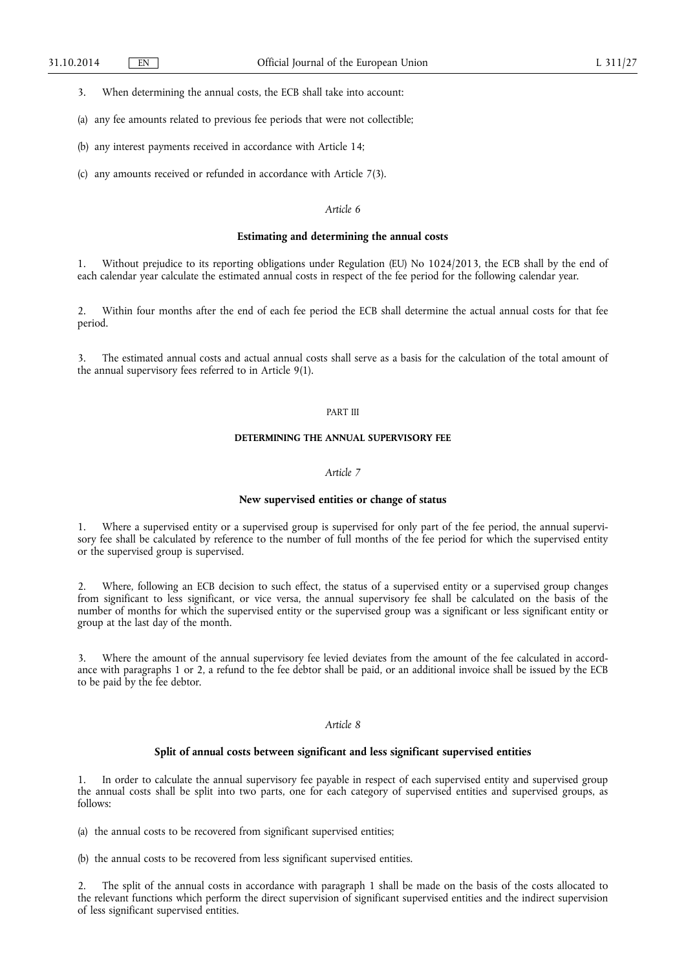3. When determining the annual costs, the ECB shall take into account:

(a) any fee amounts related to previous fee periods that were not collectible;

(b) any interest payments received in accordance with Article 14;

(c) any amounts received or refunded in accordance with Article 7(3).

## *Article 6*

# **Estimating and determining the annual costs**

1. Without prejudice to its reporting obligations under Regulation (EU) No 1024/2013, the ECB shall by the end of each calendar year calculate the estimated annual costs in respect of the fee period for the following calendar year.

2. Within four months after the end of each fee period the ECB shall determine the actual annual costs for that fee period.

The estimated annual costs and actual annual costs shall serve as a basis for the calculation of the total amount of the annual supervisory fees referred to in Article 9(1).

## PART III

# **DETERMINING THE ANNUAL SUPERVISORY FEE**

# *Article 7*

## **New supervised entities or change of status**

1. Where a supervised entity or a supervised group is supervised for only part of the fee period, the annual supervisory fee shall be calculated by reference to the number of full months of the fee period for which the supervised entity or the supervised group is supervised.

2. Where, following an ECB decision to such effect, the status of a supervised entity or a supervised group changes from significant to less significant, or vice versa, the annual supervisory fee shall be calculated on the basis of the number of months for which the supervised entity or the supervised group was a significant or less significant entity or group at the last day of the month.

3. Where the amount of the annual supervisory fee levied deviates from the amount of the fee calculated in accordance with paragraphs 1 or 2, a refund to the fee debtor shall be paid, or an additional invoice shall be issued by the ECB to be paid by the fee debtor.

# *Article 8*

### **Split of annual costs between significant and less significant supervised entities**

In order to calculate the annual supervisory fee payable in respect of each supervised entity and supervised group the annual costs shall be split into two parts, one for each category of supervised entities and supervised groups, as follows:

(a) the annual costs to be recovered from significant supervised entities;

(b) the annual costs to be recovered from less significant supervised entities.

2. The split of the annual costs in accordance with paragraph 1 shall be made on the basis of the costs allocated to the relevant functions which perform the direct supervision of significant supervised entities and the indirect supervision of less significant supervised entities.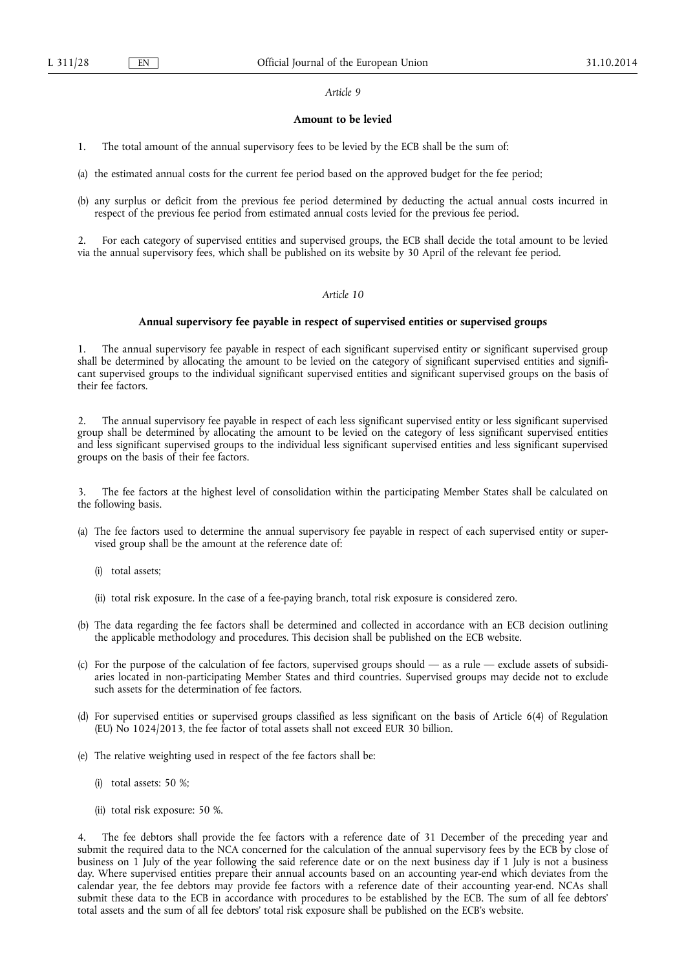#### *Article 9*

## **Amount to be levied**

1. The total amount of the annual supervisory fees to be levied by the ECB shall be the sum of:

(a) the estimated annual costs for the current fee period based on the approved budget for the fee period;

(b) any surplus or deficit from the previous fee period determined by deducting the actual annual costs incurred in respect of the previous fee period from estimated annual costs levied for the previous fee period.

2. For each category of supervised entities and supervised groups, the ECB shall decide the total amount to be levied via the annual supervisory fees, which shall be published on its website by 30 April of the relevant fee period.

# *Article 10*

### **Annual supervisory fee payable in respect of supervised entities or supervised groups**

1. The annual supervisory fee payable in respect of each significant supervised entity or significant supervised group shall be determined by allocating the amount to be levied on the category of significant supervised entities and significant supervised groups to the individual significant supervised entities and significant supervised groups on the basis of their fee factors.

2. The annual supervisory fee payable in respect of each less significant supervised entity or less significant supervised group shall be determined by allocating the amount to be levied on the category of less significant supervised entities and less significant supervised groups to the individual less significant supervised entities and less significant supervised groups on the basis of their fee factors.

3. The fee factors at the highest level of consolidation within the participating Member States shall be calculated on the following basis.

- (a) The fee factors used to determine the annual supervisory fee payable in respect of each supervised entity or supervised group shall be the amount at the reference date of:
	- (i) total assets;
	- (ii) total risk exposure. In the case of a fee-paying branch, total risk exposure is considered zero.
- (b) The data regarding the fee factors shall be determined and collected in accordance with an ECB decision outlining the applicable methodology and procedures. This decision shall be published on the ECB website.
- (c) For the purpose of the calculation of fee factors, supervised groups should as a rule exclude assets of subsidiaries located in non-participating Member States and third countries. Supervised groups may decide not to exclude such assets for the determination of fee factors.
- (d) For supervised entities or supervised groups classified as less significant on the basis of Article 6(4) of Regulation (EU) No 1024/2013, the fee factor of total assets shall not exceed EUR 30 billion.
- (e) The relative weighting used in respect of the fee factors shall be:
	- (i) total assets: 50 %;
	- (ii) total risk exposure: 50 %.

4. The fee debtors shall provide the fee factors with a reference date of 31 December of the preceding year and submit the required data to the NCA concerned for the calculation of the annual supervisory fees by the ECB by close of business on 1 July of the year following the said reference date or on the next business day if 1 July is not a business day. Where supervised entities prepare their annual accounts based on an accounting year-end which deviates from the calendar year, the fee debtors may provide fee factors with a reference date of their accounting year-end. NCAs shall submit these data to the ECB in accordance with procedures to be established by the ECB. The sum of all fee debtors' total assets and the sum of all fee debtors' total risk exposure shall be published on the ECB's website.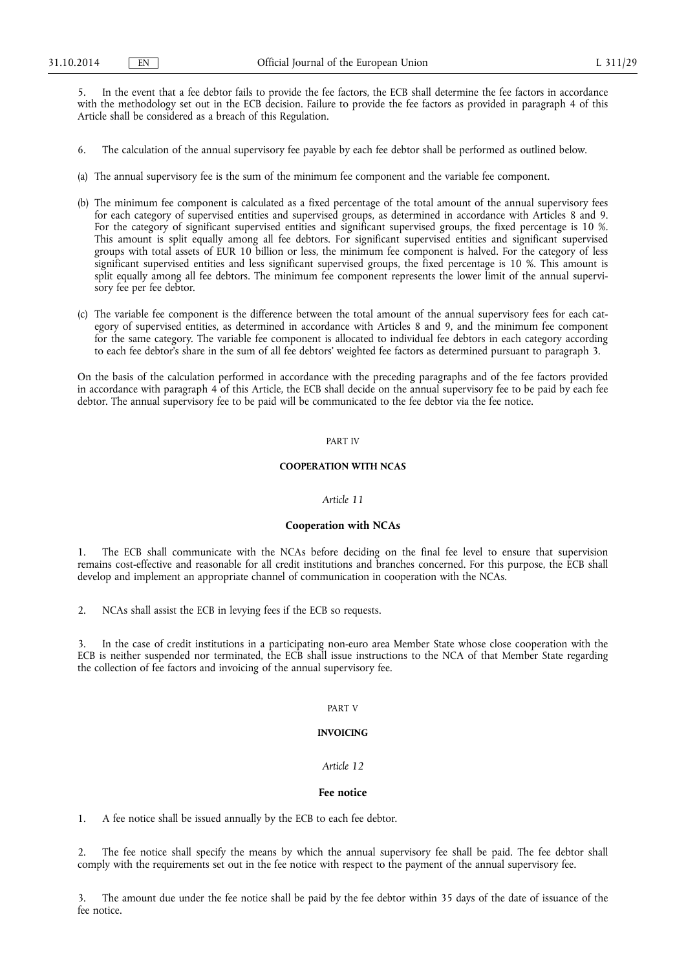5. In the event that a fee debtor fails to provide the fee factors, the ECB shall determine the fee factors in accordance with the methodology set out in the ECB decision. Failure to provide the fee factors as provided in paragraph 4 of this Article shall be considered as a breach of this Regulation.

- 6. The calculation of the annual supervisory fee payable by each fee debtor shall be performed as outlined below.
- (a) The annual supervisory fee is the sum of the minimum fee component and the variable fee component.
- (b) The minimum fee component is calculated as a fixed percentage of the total amount of the annual supervisory fees for each category of supervised entities and supervised groups, as determined in accordance with Articles 8 and 9. For the category of significant supervised entities and significant supervised groups, the fixed percentage is 10 %. This amount is split equally among all fee debtors. For significant supervised entities and significant supervised groups with total assets of EUR 10 billion or less, the minimum fee component is halved. For the category of less significant supervised entities and less significant supervised groups, the fixed percentage is 10 %. This amount is split equally among all fee debtors. The minimum fee component represents the lower limit of the annual supervisory fee per fee debtor.
- (c) The variable fee component is the difference between the total amount of the annual supervisory fees for each category of supervised entities, as determined in accordance with Articles 8 and 9, and the minimum fee component for the same category. The variable fee component is allocated to individual fee debtors in each category according to each fee debtor's share in the sum of all fee debtors' weighted fee factors as determined pursuant to paragraph 3.

On the basis of the calculation performed in accordance with the preceding paragraphs and of the fee factors provided in accordance with paragraph 4 of this Article, the ECB shall decide on the annual supervisory fee to be paid by each fee debtor. The annual supervisory fee to be paid will be communicated to the fee debtor via the fee notice.

### PART IV

## **COOPERATION WITH NCAS**

## *Article 11*

### **Cooperation with NCAs**

The ECB shall communicate with the NCAs before deciding on the final fee level to ensure that supervision remains cost-effective and reasonable for all credit institutions and branches concerned. For this purpose, the ECB shall develop and implement an appropriate channel of communication in cooperation with the NCAs.

2. NCAs shall assist the ECB in levying fees if the ECB so requests.

3. In the case of credit institutions in a participating non-euro area Member State whose close cooperation with the ECB is neither suspended nor terminated, the ECB shall issue instructions to the NCA of that Member State regarding the collection of fee factors and invoicing of the annual supervisory fee.

### PART V

#### **INVOICING**

## *Article 12*

## **Fee notice**

1. A fee notice shall be issued annually by the ECB to each fee debtor.

2. The fee notice shall specify the means by which the annual supervisory fee shall be paid. The fee debtor shall comply with the requirements set out in the fee notice with respect to the payment of the annual supervisory fee.

3. The amount due under the fee notice shall be paid by the fee debtor within 35 days of the date of issuance of the fee notice.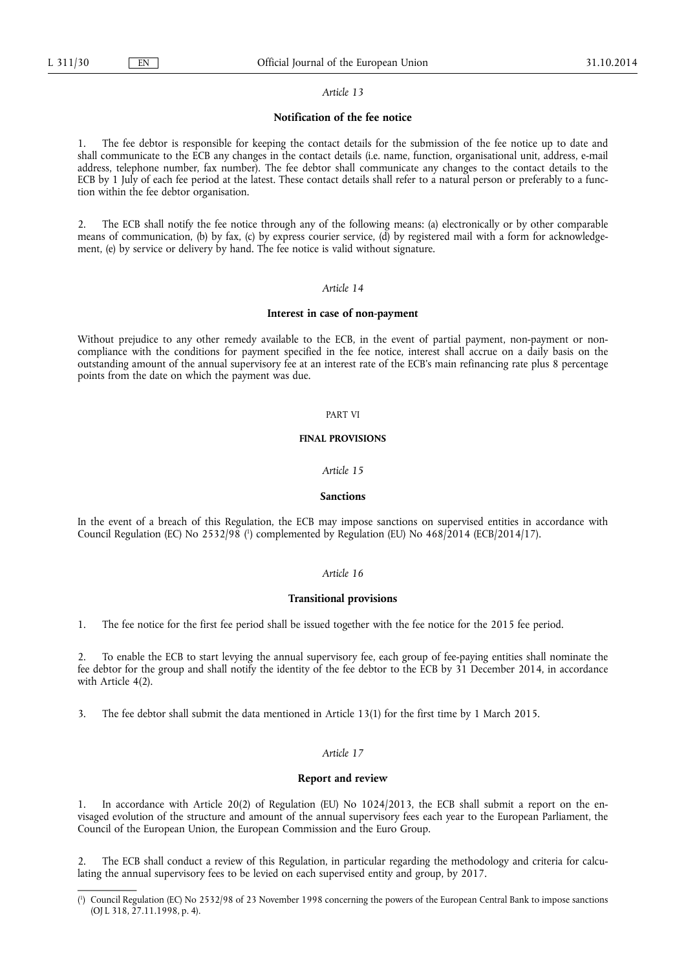### *Article 13*

## **Notification of the fee notice**

1. The fee debtor is responsible for keeping the contact details for the submission of the fee notice up to date and shall communicate to the ECB any changes in the contact details (i.e. name, function, organisational unit, address, e-mail address, telephone number, fax number). The fee debtor shall communicate any changes to the contact details to the ECB by 1 July of each fee period at the latest. These contact details shall refer to a natural person or preferably to a function within the fee debtor organisation.

2. The ECB shall notify the fee notice through any of the following means: (a) electronically or by other comparable means of communication, (b) by fax, (c) by express courier service, (d) by registered mail with a form for acknowledgement, (e) by service or delivery by hand. The fee notice is valid without signature.

# *Article 14*

#### **Interest in case of non-payment**

Without prejudice to any other remedy available to the ECB, in the event of partial payment, non-payment or noncompliance with the conditions for payment specified in the fee notice, interest shall accrue on a daily basis on the outstanding amount of the annual supervisory fee at an interest rate of the ECB's main refinancing rate plus 8 percentage points from the date on which the payment was due.

### PART VI

#### **FINAL PROVISIONS**

### *Article 15*

### **Sanctions**

In the event of a breach of this Regulation, the ECB may impose sanctions on supervised entities in accordance with Council Regulation (EC) No 2532/98 (<sup>1</sup>) complemented by Regulation (EU) No 468/2014 (ECB/2014/17).

## *Article 16*

### **Transitional provisions**

1. The fee notice for the first fee period shall be issued together with the fee notice for the 2015 fee period.

2. To enable the ECB to start levying the annual supervisory fee, each group of fee-paying entities shall nominate the fee debtor for the group and shall notify the identity of the fee debtor to the ECB by 31 December 2014, in accordance with Article 4(2).

3. The fee debtor shall submit the data mentioned in Article 13(1) for the first time by 1 March 2015.

#### *Article 17*

### **Report and review**

In accordance with Article 20(2) of Regulation (EU) No  $1024/2013$ , the ECB shall submit a report on the envisaged evolution of the structure and amount of the annual supervisory fees each year to the European Parliament, the Council of the European Union, the European Commission and the Euro Group.

2. The ECB shall conduct a review of this Regulation, in particular regarding the methodology and criteria for calculating the annual supervisory fees to be levied on each supervised entity and group, by 2017.

<sup>(</sup> 1 ) Council Regulation (EC) No 2532/98 of 23 November 1998 concerning the powers of the European Central Bank to impose sanctions (OJ L 318, 27.11.1998, p. 4).